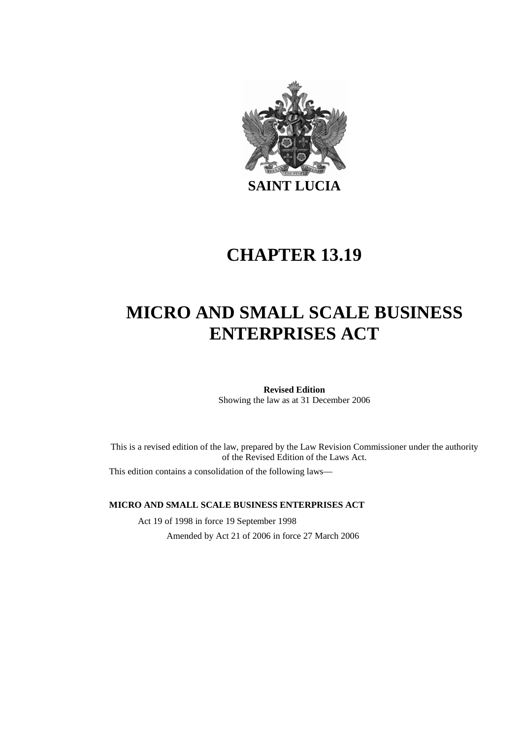

# **CHAPTER 13.19**

# **MICRO AND SMALL SCALE BUSINESS ENTERPRISES ACT**

**Revised Edition**  Showing the law as at 31 December 2006

This is a revised edition of the law, prepared by the Law Revision Commissioner under the authority of the Revised Edition of the Laws Act.

This edition contains a consolidation of the following laws—

#### **MICRO AND SMALL SCALE BUSINESS ENTERPRISES ACT**

Act 19 of 1998 in force 19 September 1998 Amended by Act 21 of 2006 in force 27 March 2006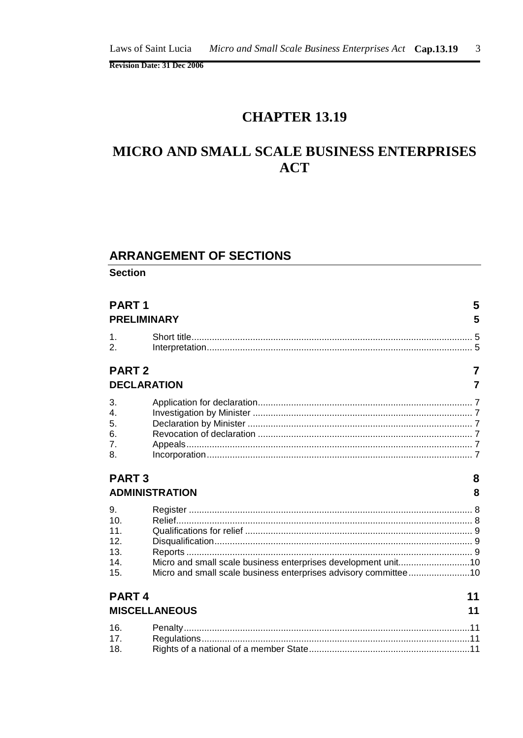## **CHAPTER 13.19**

## MICRO AND SMALL SCALE BUSINESS ENTERPRISES **ACT**

#### **ARRANGEMENT OF SECTIONS**

**Section** 

| PART <sub>1</sub>                                                    | <b>PRELIMINARY</b>                                                                                                               | 5<br>5         |
|----------------------------------------------------------------------|----------------------------------------------------------------------------------------------------------------------------------|----------------|
| $\mathbf{1}$ .<br>$\mathcal{P}_{\cdot}$                              |                                                                                                                                  |                |
| <b>PART2</b>                                                         |                                                                                                                                  | $\overline{7}$ |
|                                                                      | <b>DECLARATION</b>                                                                                                               | 7              |
| 3.<br>$\mathbf{A}$<br>5.<br>6.<br>7.<br>8.                           |                                                                                                                                  |                |
| <b>PART3</b>                                                         | <b>ADMINISTRATION</b>                                                                                                            | 8<br>8         |
| 9.<br>10 <sub>1</sub><br>11.<br>12 <sup>1</sup><br>13.<br>14.<br>15. | Micro and small scale business enterprises development unit10<br>Micro and small scale business enterprises advisory committee10 |                |
| PART <sub>4</sub>                                                    | <b>MISCELLANEOUS</b>                                                                                                             | 11<br>11       |
| 16.<br>17 <sub>1</sub><br>18.                                        |                                                                                                                                  |                |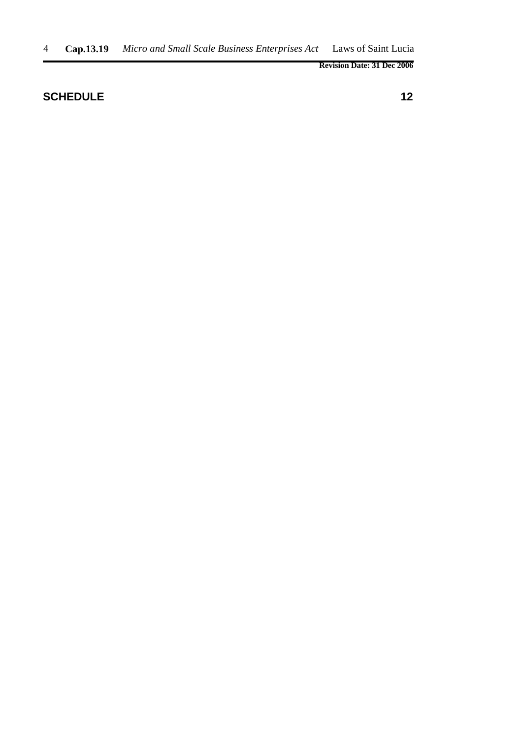### **SCHEDULE** 12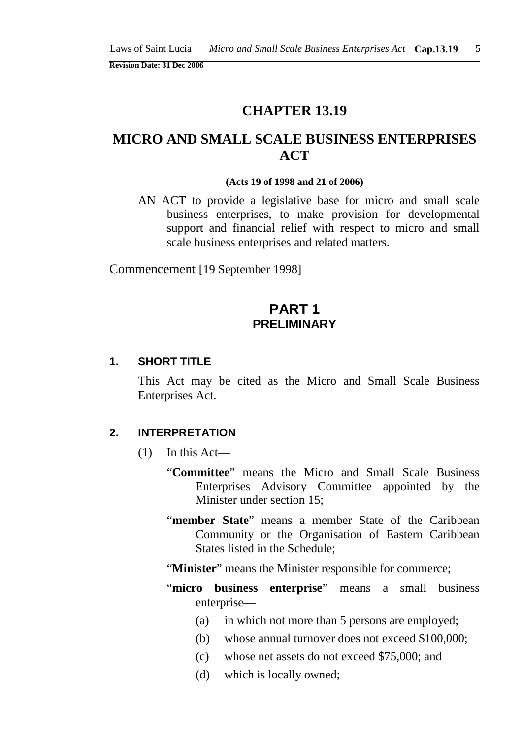### **CHAPTER 13.19**

## **MICRO AND SMALL SCALE BUSINESS ENTERPRISES ACT**

#### **(Acts 19 of 1998 and 21 of 2006)**

AN ACT to provide a legislative base for micro and small scale business enterprises, to make provision for developmental support and financial relief with respect to micro and small scale business enterprises and related matters.

Commencement [19 September 1998]

### **PART 1 PRELIMINARY**

#### **1. SHORT TITLE**

This Act may be cited as the Micro and Small Scale Business Enterprises Act.

#### **2. INTERPRETATION**

- $(1)$  In this Act—
	- "**Committee**" means the Micro and Small Scale Business Enterprises Advisory Committee appointed by the Minister under section 15;
	- "**member State**" means a member State of the Caribbean Community or the Organisation of Eastern Caribbean States listed in the Schedule;
	- "**Minister**" means the Minister responsible for commerce;
	- "micro business enterprise" means a small business enterprise—
		- (a) in which not more than 5 persons are employed;
		- (b) whose annual turnover does not exceed \$100,000;
		- (c) whose net assets do not exceed \$75,000; and
		- (d) which is locally owned;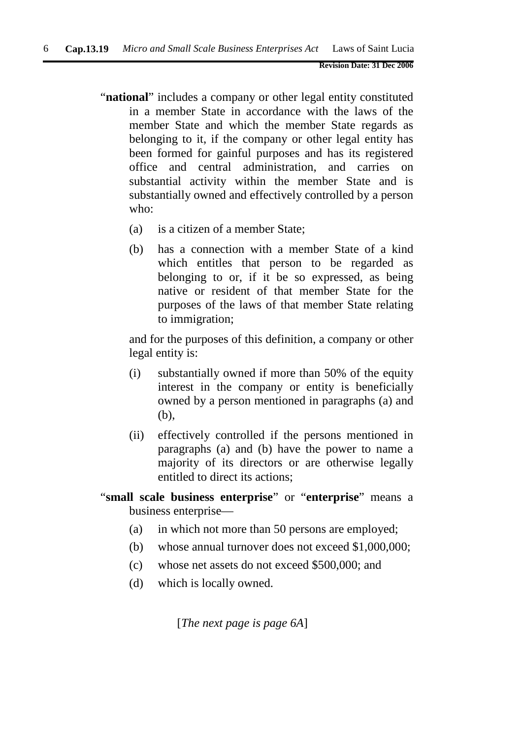- "**national**" includes a company or other legal entity constituted in a member State in accordance with the laws of the member State and which the member State regards as belonging to it, if the company or other legal entity has been formed for gainful purposes and has its registered office and central administration, and carries on substantial activity within the member State and is substantially owned and effectively controlled by a person who:
	- (a) is a citizen of a member State;
	- (b) has a connection with a member State of a kind which entitles that person to be regarded as belonging to or, if it be so expressed, as being native or resident of that member State for the purposes of the laws of that member State relating to immigration;

and for the purposes of this definition, a company or other legal entity is:

- (i) substantially owned if more than 50% of the equity interest in the company or entity is beneficially owned by a person mentioned in paragraphs (a) and (b),
- (ii) effectively controlled if the persons mentioned in paragraphs (a) and (b) have the power to name a majority of its directors or are otherwise legally entitled to direct its actions;
- "**small scale business enterprise**" or "**enterprise**" means a business enterprise—
	- (a) in which not more than 50 persons are employed;
	- (b) whose annual turnover does not exceed \$1,000,000;
	- (c) whose net assets do not exceed \$500,000; and
	- (d) which is locally owned.

[*The next page is page 6A*]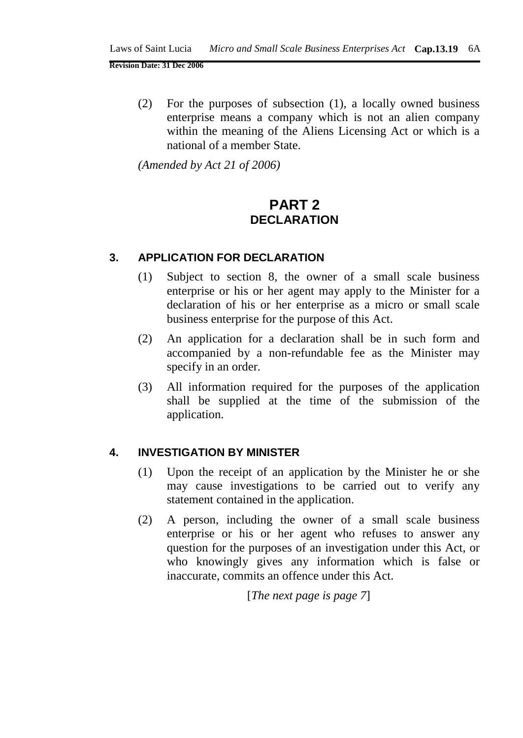(2) For the purposes of subsection (1), a locally owned business enterprise means a company which is not an alien company within the meaning of the Aliens Licensing Act or which is a national of a member State.

*(Amended by Act 21 of 2006)*

## **PART 2 DECLARATION**

#### **3. APPLICATION FOR DECLARATION**

- (1) Subject to section 8, the owner of a small scale business enterprise or his or her agent may apply to the Minister for a declaration of his or her enterprise as a micro or small scale business enterprise for the purpose of this Act.
- (2) An application for a declaration shall be in such form and accompanied by a non-refundable fee as the Minister may specify in an order.
- (3) All information required for the purposes of the application shall be supplied at the time of the submission of the application.

#### **4. INVESTIGATION BY MINISTER**

- (1) Upon the receipt of an application by the Minister he or she may cause investigations to be carried out to verify any statement contained in the application.
- (2) A person, including the owner of a small scale business enterprise or his or her agent who refuses to answer any question for the purposes of an investigation under this Act, or who knowingly gives any information which is false or inaccurate, commits an offence under this Act.

[*The next page is page 7*]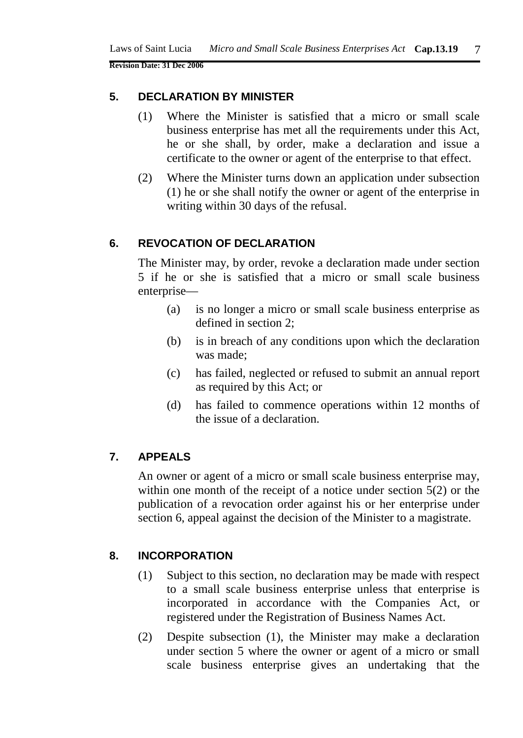#### **5. DECLARATION BY MINISTER**

- (1) Where the Minister is satisfied that a micro or small scale business enterprise has met all the requirements under this Act, he or she shall, by order, make a declaration and issue a certificate to the owner or agent of the enterprise to that effect.
- (2) Where the Minister turns down an application under subsection (1) he or she shall notify the owner or agent of the enterprise in writing within 30 days of the refusal.

#### **6. REVOCATION OF DECLARATION**

The Minister may, by order, revoke a declaration made under section 5 if he or she is satisfied that a micro or small scale business enterprise—

- (a) is no longer a micro or small scale business enterprise as defined in section 2;
- (b) is in breach of any conditions upon which the declaration was made;
- (c) has failed, neglected or refused to submit an annual report as required by this Act; or
- (d) has failed to commence operations within 12 months of the issue of a declaration.

#### **7. APPEALS**

An owner or agent of a micro or small scale business enterprise may, within one month of the receipt of a notice under section 5(2) or the publication of a revocation order against his or her enterprise under section 6, appeal against the decision of the Minister to a magistrate.

### **8. INCORPORATION**

- (1) Subject to this section, no declaration may be made with respect to a small scale business enterprise unless that enterprise is incorporated in accordance with the Companies Act, or registered under the Registration of Business Names Act.
- (2) Despite subsection (1), the Minister may make a declaration under section 5 where the owner or agent of a micro or small scale business enterprise gives an undertaking that the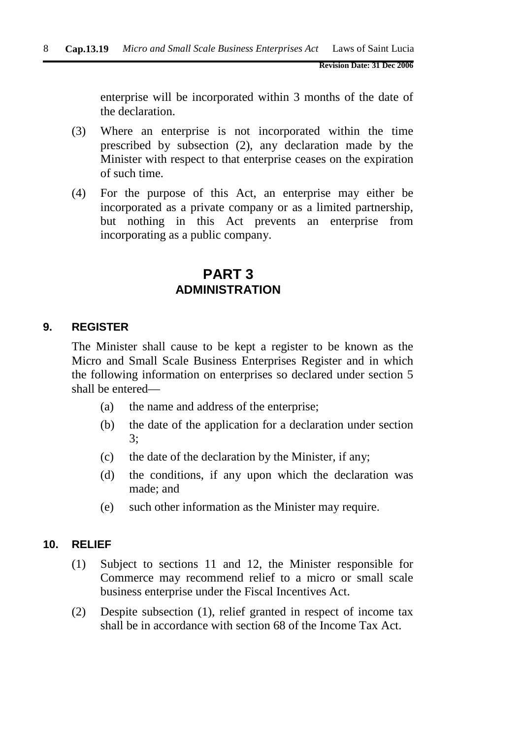enterprise will be incorporated within 3 months of the date of the declaration.

- (3) Where an enterprise is not incorporated within the time prescribed by subsection (2), any declaration made by the Minister with respect to that enterprise ceases on the expiration of such time.
- (4) For the purpose of this Act, an enterprise may either be incorporated as a private company or as a limited partnership, but nothing in this Act prevents an enterprise from incorporating as a public company.

## **PART 3 ADMINISTRATION**

#### **9. REGISTER**

The Minister shall cause to be kept a register to be known as the Micro and Small Scale Business Enterprises Register and in which the following information on enterprises so declared under section 5 shall be entered—

- (a) the name and address of the enterprise;
- (b) the date of the application for a declaration under section 3;
- (c) the date of the declaration by the Minister, if any;
- (d) the conditions, if any upon which the declaration was made; and
- (e) such other information as the Minister may require.

#### **10. RELIEF**

- (1) Subject to sections 11 and 12, the Minister responsible for Commerce may recommend relief to a micro or small scale business enterprise under the Fiscal Incentives Act.
- (2) Despite subsection (1), relief granted in respect of income tax shall be in accordance with section 68 of the Income Tax Act.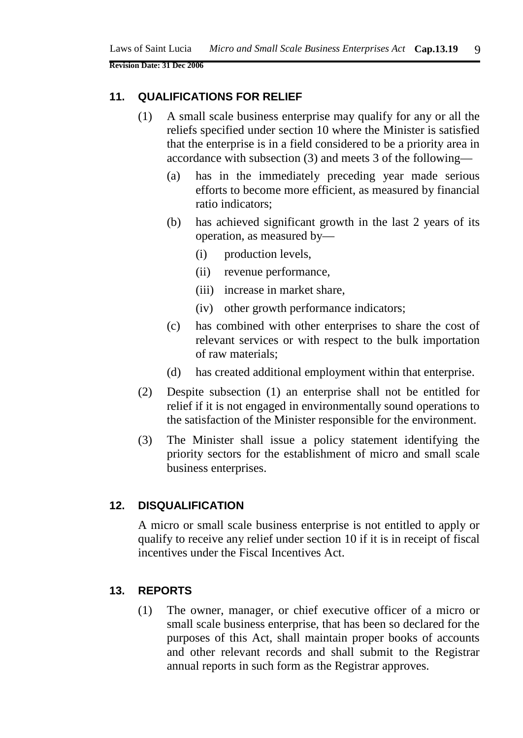#### **11. QUALIFICATIONS FOR RELIEF**

- (1) A small scale business enterprise may qualify for any or all the reliefs specified under section 10 where the Minister is satisfied that the enterprise is in a field considered to be a priority area in accordance with subsection (3) and meets 3 of the following—
	- (a) has in the immediately preceding year made serious efforts to become more efficient, as measured by financial ratio indicators;
	- (b) has achieved significant growth in the last 2 years of its operation, as measured by—
		- (i) production levels,
		- (ii) revenue performance,
		- (iii) increase in market share,
		- (iv) other growth performance indicators;
	- (c) has combined with other enterprises to share the cost of relevant services or with respect to the bulk importation of raw materials;
	- (d) has created additional employment within that enterprise.
- (2) Despite subsection (1) an enterprise shall not be entitled for relief if it is not engaged in environmentally sound operations to the satisfaction of the Minister responsible for the environment.
- (3) The Minister shall issue a policy statement identifying the priority sectors for the establishment of micro and small scale business enterprises.

#### **12. DISQUALIFICATION**

A micro or small scale business enterprise is not entitled to apply or qualify to receive any relief under section 10 if it is in receipt of fiscal incentives under the Fiscal Incentives Act.

#### **13. REPORTS**

(1) The owner, manager, or chief executive officer of a micro or small scale business enterprise, that has been so declared for the purposes of this Act, shall maintain proper books of accounts and other relevant records and shall submit to the Registrar annual reports in such form as the Registrar approves.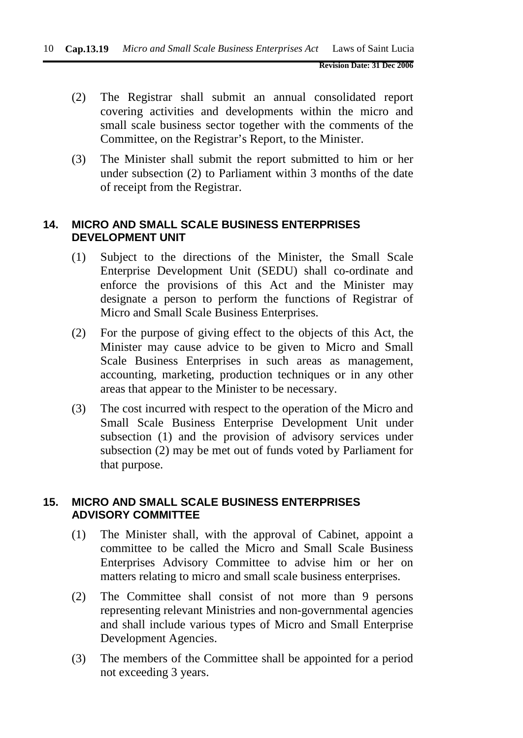- (2) The Registrar shall submit an annual consolidated report covering activities and developments within the micro and small scale business sector together with the comments of the Committee, on the Registrar's Report, to the Minister.
- (3) The Minister shall submit the report submitted to him or her under subsection (2) to Parliament within 3 months of the date of receipt from the Registrar.

### **14. MICRO AND SMALL SCALE BUSINESS ENTERPRISES DEVELOPMENT UNIT**

- (1) Subject to the directions of the Minister, the Small Scale Enterprise Development Unit (SEDU) shall co-ordinate and enforce the provisions of this Act and the Minister may designate a person to perform the functions of Registrar of Micro and Small Scale Business Enterprises.
- (2) For the purpose of giving effect to the objects of this Act, the Minister may cause advice to be given to Micro and Small Scale Business Enterprises in such areas as management, accounting, marketing, production techniques or in any other areas that appear to the Minister to be necessary.
- (3) The cost incurred with respect to the operation of the Micro and Small Scale Business Enterprise Development Unit under subsection (1) and the provision of advisory services under subsection (2) may be met out of funds voted by Parliament for that purpose.

#### **15. MICRO AND SMALL SCALE BUSINESS ENTERPRISES ADVISORY COMMITTEE**

- (1) The Minister shall, with the approval of Cabinet, appoint a committee to be called the Micro and Small Scale Business Enterprises Advisory Committee to advise him or her on matters relating to micro and small scale business enterprises.
- (2) The Committee shall consist of not more than 9 persons representing relevant Ministries and non-governmental agencies and shall include various types of Micro and Small Enterprise Development Agencies.
- (3) The members of the Committee shall be appointed for a period not exceeding 3 years.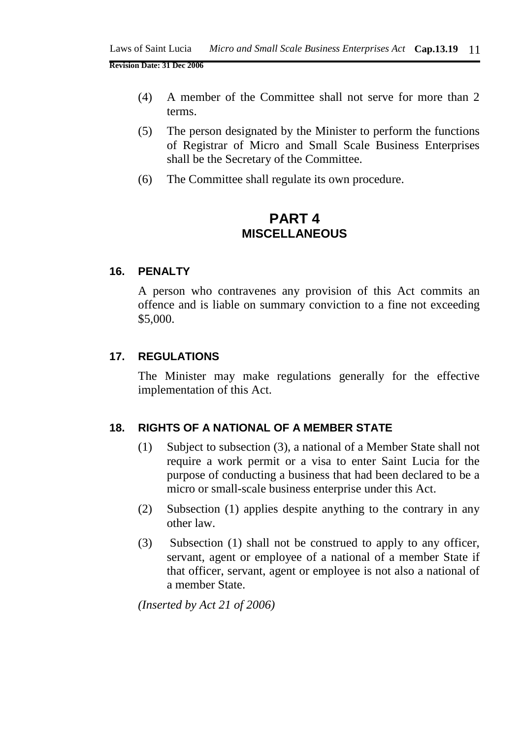- (4) A member of the Committee shall not serve for more than 2 terms.
- (5) The person designated by the Minister to perform the functions of Registrar of Micro and Small Scale Business Enterprises shall be the Secretary of the Committee.
- (6) The Committee shall regulate its own procedure.

### **PART 4 MISCELLANEOUS**

#### **16. PENALTY**

A person who contravenes any provision of this Act commits an offence and is liable on summary conviction to a fine not exceeding \$5,000.

#### **17. REGULATIONS**

The Minister may make regulations generally for the effective implementation of this Act.

#### **18. RIGHTS OF A NATIONAL OF A MEMBER STATE**

- (1) Subject to subsection (3), a national of a Member State shall not require a work permit or a visa to enter Saint Lucia for the purpose of conducting a business that had been declared to be a micro or small-scale business enterprise under this Act.
- (2) Subsection (1) applies despite anything to the contrary in any other law.
- (3) Subsection (1) shall not be construed to apply to any officer, servant, agent or employee of a national of a member State if that officer, servant, agent or employee is not also a national of a member State.

*(Inserted by Act 21 of 2006)*